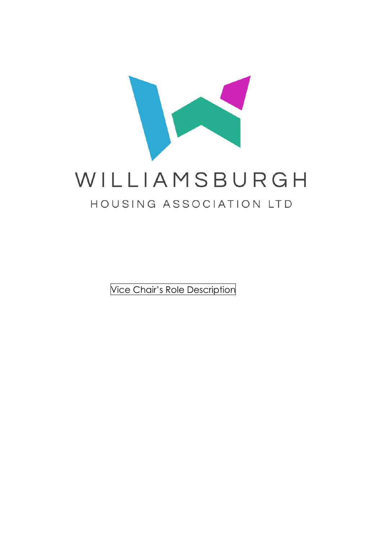

Vice Chair's Role Description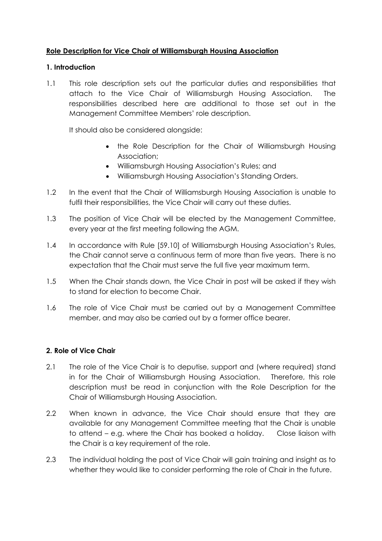## **Role Description for Vice Chair of Williamsburgh Housing Association**

## **1. Introduction**

1.1 This role description sets out the particular duties and responsibilities that attach to the Vice Chair of Williamsburgh Housing Association. The responsibilities described here are additional to those set out in the Management Committee Members' role description.

It should also be considered alongside:

- the Role Description for the Chair of Williamsburgh Housing Association;
- Williamsburgh Housing Association's Rules; and
- Williamsburgh Housing Association's Standing Orders.
- 1.2 In the event that the Chair of Williamsburgh Housing Association is unable to fulfil their responsibilities, the Vice Chair will carry out these duties.
- 1.3 The position of Vice Chair will be elected by the Management Committee, every year at the first meeting following the AGM.
- 1.4 In accordance with Rule [59.10] of Williamsburgh Housing Association's Rules, the Chair cannot serve a continuous term of more than five years. There is no expectation that the Chair must serve the full five year maximum term.
- 1.5 When the Chair stands down, the Vice Chair in post will be asked if they wish to stand for election to become Chair.
- 1.6 The role of Vice Chair must be carried out by a Management Committee member, and may also be carried out by a former office bearer.

## **2. Role of Vice Chair**

- 2.1 The role of the Vice Chair is to deputise, support and (where required) stand in for the Chair of Williamsburgh Housing Association. Therefore, this role description must be read in conjunction with the Role Description for the Chair of Williamsburgh Housing Association.
- 2.2 When known in advance, the Vice Chair should ensure that they are available for any Management Committee meeting that the Chair is unable to attend – e.g. where the Chair has booked a holiday. Close liaison with the Chair is a key requirement of the role.
- 2.3 The individual holding the post of Vice Chair will gain training and insight as to whether they would like to consider performing the role of Chair in the future.